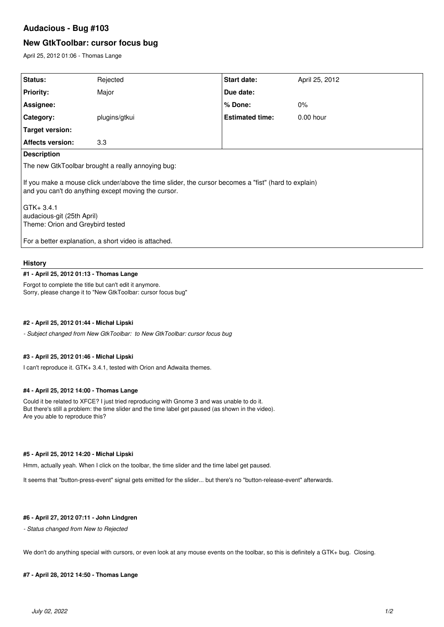# **Audacious - Bug #103**

# **New GtkToolbar: cursor focus bug**

April 25, 2012 01:06 - Thomas Lange

| Status:                                                                                                                                                     | Rejected      | Start date:            | April 25, 2012 |
|-------------------------------------------------------------------------------------------------------------------------------------------------------------|---------------|------------------------|----------------|
| <b>Priority:</b>                                                                                                                                            | Major         | Due date:              |                |
| Assignee:                                                                                                                                                   |               | $%$ Done:              | $0\%$          |
| Category:                                                                                                                                                   | plugins/gtkui | <b>Estimated time:</b> | $0.00$ hour    |
| Target version:                                                                                                                                             |               |                        |                |
| <b>Affects version:</b>                                                                                                                                     | 3.3           |                        |                |
| <b>Description</b>                                                                                                                                          |               |                        |                |
| The new GtkToolbar brought a really annoying bug:                                                                                                           |               |                        |                |
| If you make a mouse click under/above the time slider, the cursor becomes a "fist" (hard to explain)<br>and you can't do anything except moving the cursor. |               |                        |                |
| $GTK + 3.4.1$<br>audacious-git (25th April)<br>Theme: Orion and Greybird tested                                                                             |               |                        |                |
| For a better explanation, a short video is attached.                                                                                                        |               |                        |                |

#### **History**

### **#1 - April 25, 2012 01:13 - Thomas Lange**

Forgot to complete the title but can't edit it anymore. Sorry, please change it to "New GtkToolbar: cursor focus bug"

### **#2 - April 25, 2012 01:44 - Michał Lipski**

*- Subject changed from New GtkToolbar: to New GtkToolbar: cursor focus bug*

#### **#3 - April 25, 2012 01:46 - Michał Lipski**

I can't reproduce it. GTK+ 3.4.1, tested with Orion and Adwaita themes.

#### **#4 - April 25, 2012 14:00 - Thomas Lange**

Could it be related to XFCE? I just tried reproducing with Gnome 3 and was unable to do it. But there's still a problem: the time slider and the time label get paused (as shown in the video). Are you able to reproduce this?

# **#5 - April 25, 2012 14:20 - Michał Lipski**

Hmm, actually yeah. When I click on the toolbar, the time slider and the time label get paused.

It seems that "button-press-event" signal gets emitted for the slider... but there's no "button-release-event" afterwards.

# **#6 - April 27, 2012 07:11 - John Lindgren**

#### *- Status changed from New to Rejected*

We don't do anything special with cursors, or even look at any mouse events on the toolbar, so this is definitely a GTK+ bug. Closing.

#### **#7 - April 28, 2012 14:50 - Thomas Lange**